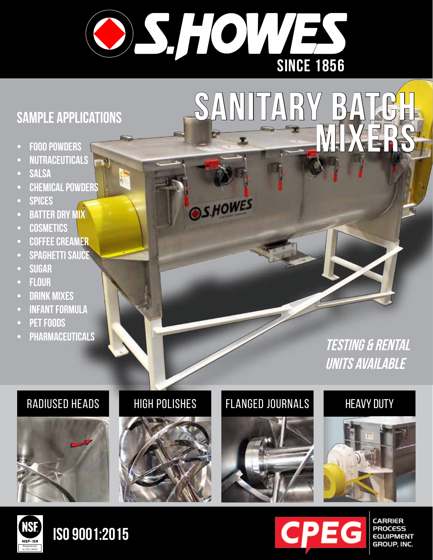

**OS.HOWES** 

# **Sample applications**

- **FOOD POWDERS**
- **• nutraceuticals**
- **SALSA**
- **CHEMICAL POWDERS**
- **• spices**
- **BATTER DRY MIX**
- **• cosmetics**
- **• coffee creamer**
- **SPAGHETTI SAUCE**
- **• sugar**
- **• flour**
- **DRINK MIXES**
- **INFANT FORMULA**
- **PET FOODS**
- **• pharmaceuticals**

**testing & rental units available**

**mixers**





## RADIUSED HEADS HIGH POLISHES FLANGED JOURNALS

**sanitary batch** 



## **HEAVY DUTY**





# **iso 9001:2015**



**CARRIER PROCESS EQUIPMENT** GROUP, INC.